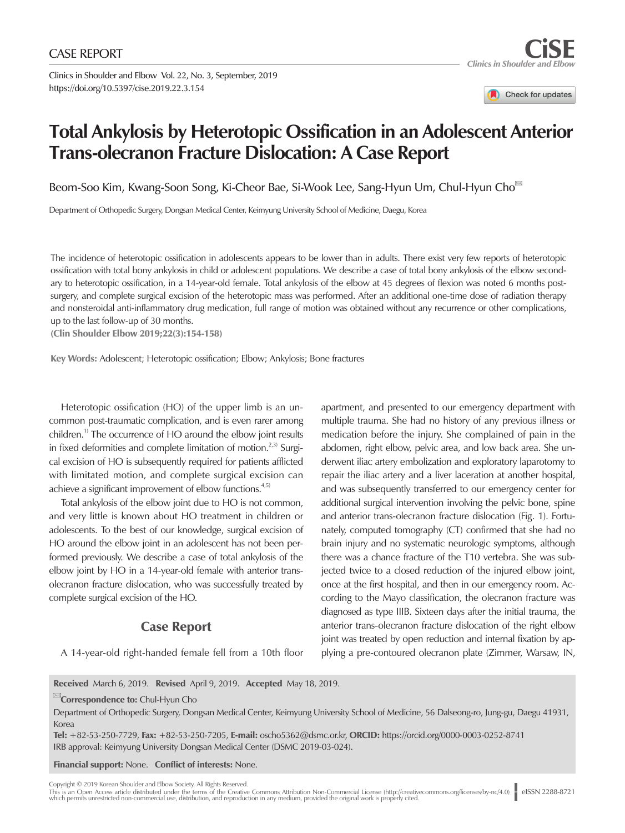Clinics in Shoulder and Elbow Vol. 22, No. 3, September, 2019 https://doi.org/10.5397/cise.2019.22.3.154

Check for updates

## **Total Ankylosis by Heterotopic Ossification in an Adolescent Anterior Trans-olecranon Fracture Dislocation: A Case Report**

Beom-Soo Kim, Kwang-Soon Song, Ki-Cheor Bae, Si-Wook Lee, Sang-Hyun Um, Chul-Hyun Cho

Department of Orthopedic Surgery, Dongsan Medical Center, Keimyung University School of Medicine, Daegu, Korea

The incidence of heterotopic ossification in adolescents appears to be lower than in adults. There exist very few reports of heterotopic ossification with total bony ankylosis in child or adolescent populations. We describe a case of total bony ankylosis of the elbow secondary to heterotopic ossification, in a 14-year-old female. Total ankylosis of the elbow at 45 degrees of flexion was noted 6 months postsurgery, and complete surgical excision of the heterotopic mass was performed. After an additional one-time dose of radiation therapy and nonsteroidal anti-inflammatory drug medication, full range of motion was obtained without any recurrence or other complications, up to the last follow-up of 30 months.

(Clin Shoulder Elbow 2019;22(3):154-158)

Key Words: Adolescent; Heterotopic ossification; Elbow; Ankylosis; Bone fractures

Heterotopic ossification (HO) of the upper limb is an uncommon post-traumatic complication, and is even rarer among children.<sup>1)</sup> The occurrence of HO around the elbow joint results in fixed deformities and complete limitation of motion.<sup>2,3)</sup> Surgical excision of HO is subsequently required for patients afflicted with limitated motion, and complete surgical excision can achieve a significant improvement of elbow functions.<sup>4,5)</sup>

Total ankylosis of the elbow joint due to HO is not common, and very little is known about HO treatment in children or adolescents. To the best of our knowledge, surgical excision of HO around the elbow joint in an adolescent has not been performed previously. We describe a case of total ankylosis of the elbow joint by HO in a 14-year-old female with anterior transolecranon fracture dislocation, who was successfully treated by complete surgical excision of the HO.

## Case Report

A 14-year-old right-handed female fell from a 10th floor

apartment, and presented to our emergency department with multiple trauma. She had no history of any previous illness or medication before the injury. She complained of pain in the abdomen, right elbow, pelvic area, and low back area. She underwent iliac artery embolization and exploratory laparotomy to repair the iliac artery and a liver laceration at another hospital, and was subsequently transferred to our emergency center for additional surgical intervention involving the pelvic bone, spine and anterior trans-olecranon fracture dislocation (Fig. 1). Fortunately, computed tomography (CT) confirmed that she had no brain injury and no systematic neurologic symptoms, although there was a chance fracture of the T10 vertebra. She was subjected twice to a closed reduction of the injured elbow joint, once at the first hospital, and then in our emergency room. According to the Mayo classification, the olecranon fracture was diagnosed as type IIIB. Sixteen days after the initial trauma, the anterior trans-olecranon fracture dislocation of the right elbow joint was treated by open reduction and internal fixation by applying a pre-contoured olecranon plate (Zimmer, Warsaw, IN,

Received March 6, 2019. Revised April 9, 2019. Accepted May 18, 2019.

**EX**Correspondence to: Chul-Hyun Cho

Department of Orthopedic Surgery, Dongsan Medical Center, Keimyung University School of Medicine, 56 Dalseong-ro, Jung-gu, Daegu 41931, Korea

Tel: +82-53-250-7729, Fax: +82-53-250-7205, E-mail: [oscho5362@dsmc.or.kr,](mailto:oscho5362@dsmc.or.kr) ORCID: https://orcid.org/0000-0003-0252-8741 IRB approval: Keimyung University Dongsan Medical Center (DSMC 2019-03-024).

Financial support: None. Conflict of interests: None.

Copyright © 2019 Korean Shoulder and Elbow Society. All Rights Reserved.

This is an Open Access article distributed under the terms of the Creative Commons Attribution Non-Commercial License (http://creativecommons.org/licenses/by-nc/4.0)<br>which permits unrestricted non-commercial use, distribut eISSN 2288-8721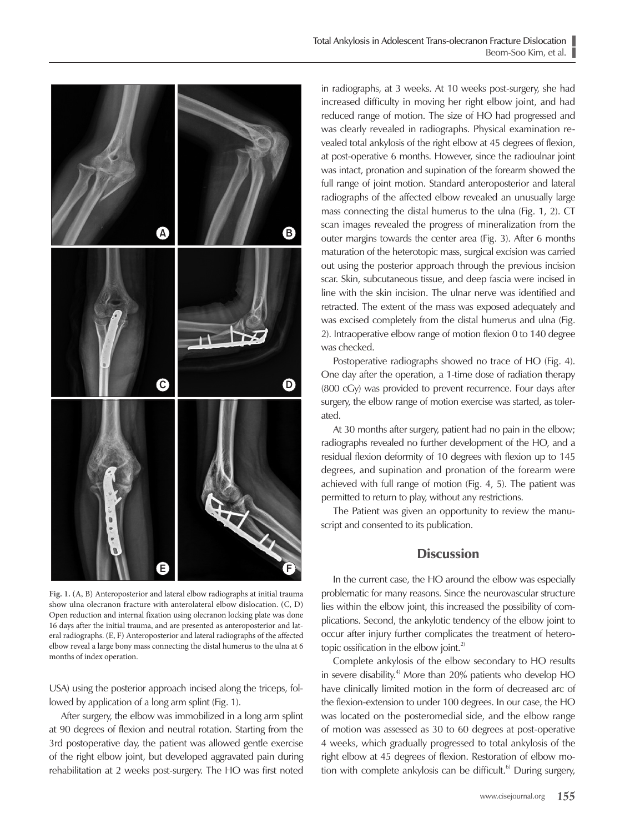

**Fig. 1.** (A, B) Anteroposterior and lateral elbow radiographs at initial trauma show ulna olecranon fracture with anterolateral elbow dislocation. (C, D) Open reduction and internal fixation using olecranon locking plate was done 16 days after the initial trauma, and are presented as anteroposterior and lateral radiographs. (E, F) Anteroposterior and lateral radiographs of the affected elbow reveal a large bony mass connecting the distal humerus to the ulna at 6 months of index operation.

USA) using the posterior approach incised along the triceps, followed by application of a long arm splint (Fig. 1).

After surgery, the elbow was immobilized in a long arm splint at 90 degrees of flexion and neutral rotation. Starting from the 3rd postoperative day, the patient was allowed gentle exercise of the right elbow joint, but developed aggravated pain during rehabilitation at 2 weeks post-surgery. The HO was first noted

in radiographs, at 3 weeks. At 10 weeks post-surgery, she had increased difficulty in moving her right elbow joint, and had reduced range of motion. The size of HO had progressed and was clearly revealed in radiographs. Physical examination revealed total ankylosis of the right elbow at 45 degrees of flexion, at post-operative 6 months. However, since the radioulnar joint was intact, pronation and supination of the forearm showed the full range of joint motion. Standard anteroposterior and lateral radiographs of the affected elbow revealed an unusually large mass connecting the distal humerus to the ulna (Fig. 1, 2). CT scan images revealed the progress of mineralization from the outer margins towards the center area (Fig. 3). After 6 months maturation of the heterotopic mass, surgical excision was carried out using the posterior approach through the previous incision scar. Skin, subcutaneous tissue, and deep fascia were incised in line with the skin incision. The ulnar nerve was identified and retracted. The extent of the mass was exposed adequately and was excised completely from the distal humerus and ulna (Fig. 2). Intraoperative elbow range of motion flexion 0 to 140 degree was checked.

Postoperative radiographs showed no trace of HO (Fig. 4). One day after the operation, a 1-time dose of radiation therapy (800 cGy) was provided to prevent recurrence. Four days after surgery, the elbow range of motion exercise was started, as tolerated.

At 30 months after surgery, patient had no pain in the elbow; radiographs revealed no further development of the HO, and a residual flexion deformity of 10 degrees with flexion up to 145 degrees, and supination and pronation of the forearm were achieved with full range of motion (Fig. 4, 5). The patient was permitted to return to play, without any restrictions.

The Patient was given an opportunity to review the manuscript and consented to its publication.

## **Discussion**

In the current case, the HO around the elbow was especially problematic for many reasons. Since the neurovascular structure lies within the elbow joint, this increased the possibility of complications. Second, the ankylotic tendency of the elbow joint to occur after injury further complicates the treatment of heterotopic ossification in the elbow joint. $^{2}$ 

Complete ankylosis of the elbow secondary to HO results in severe disability.<sup>4)</sup> More than 20% patients who develop HO have clinically limited motion in the form of decreased arc of the flexion-extension to under 100 degrees. In our case, the HO was located on the posteromedial side, and the elbow range of motion was assessed as 30 to 60 degrees at post-operative 4 weeks, which gradually progressed to total ankylosis of the right elbow at 45 degrees of flexion. Restoration of elbow motion with complete ankylosis can be difficult.<sup>6)</sup> During surgery,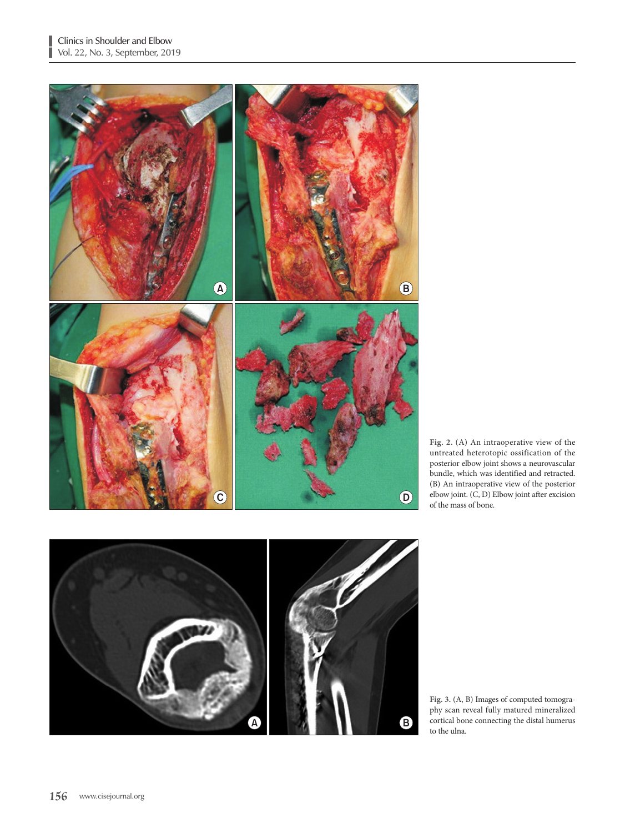T



**Fig. 2.** (A) An intraoperative view of the untreated heterotopic ossification of the posterior elbow joint shows a neurovascular bundle, which was identified and retracted. (B) An intraoperative view of the posterior elbow joint. (C, D) Elbow joint after excision of the mass of bone.



**Fig. 3.** (A, B) Images of computed tomography scan reveal fully matured mineralized cortical bone connecting the distal humerus to the ulna.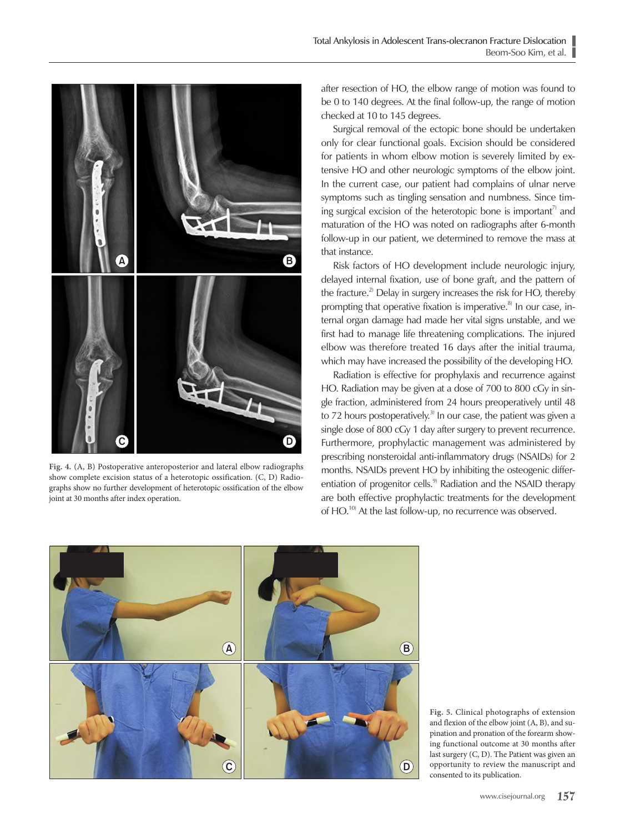

**Fig. 4.** (A, B) Postoperative anteroposterior and lateral elbow radiographs show complete excision status of a heterotopic ossification. (C, D) Radiographs show no further development of heterotopic ossification of the elbow joint at 30 months after index operation.

after resection of HO, the elbow range of motion was found to be 0 to 140 degrees. At the final follow-up, the range of motion checked at 10 to 145 degrees.

Surgical removal of the ectopic bone should be undertaken only for clear functional goals. Excision should be considered for patients in whom elbow motion is severely limited by extensive HO and other neurologic symptoms of the elbow joint. In the current case, our patient had complains of ulnar nerve symptoms such as tingling sensation and numbness. Since timing surgical excision of the heterotopic bone is important<sup> $\eta$ </sup> and maturation of the HO was noted on radiographs after 6-month follow-up in our patient, we determined to remove the mass at that instance.

Risk factors of HO development include neurologic injury, delayed internal fixation, use of bone graft, and the pattern of the fracture.<sup>2)</sup> Delay in surgery increases the risk for HO, thereby prompting that operative fixation is imperative. $8$  In our case, internal organ damage had made her vital signs unstable, and we first had to manage life threatening complications. The injured elbow was therefore treated 16 days after the initial trauma, which may have increased the possibility of the developing HO.

Radiation is effective for prophylaxis and recurrence against HO. Radiation may be given at a dose of 700 to 800 cGy in single fraction, administered from 24 hours preoperatively until 48 to 72 hours postoperatively.<sup>3)</sup> In our case, the patient was given a single dose of 800 cGy 1 day after surgery to prevent recurrence. Furthermore, prophylactic management was administered by prescribing nonsteroidal anti-inflammatory drugs (NSAIDs) for 2 months. NSAIDs prevent HO by inhibiting the osteogenic differentiation of progenitor cells.<sup>9)</sup> Radiation and the NSAID therapy are both effective prophylactic treatments for the development of HO.<sup>10)</sup> At the last follow-up, no recurrence was observed.



**Fig. 5.** Clinical photographs of extension and flexion of the elbow joint (A, B), and supination and pronation of the forearm showing functional outcome at 30 months after last surgery (C, D). The Patient was given an opportunity to review the manuscript and consented to its publication.